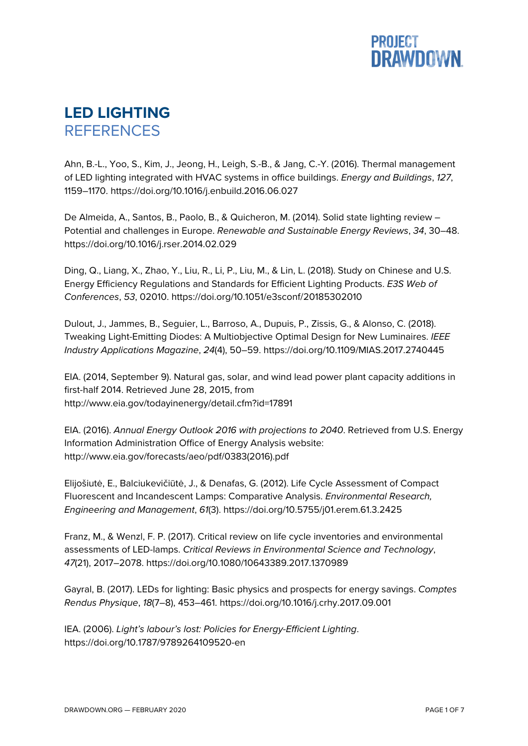

## **LED LIGHTING REFERENCES**

Ahn, B.-L., Yoo, S., Kim, J., Jeong, H., Leigh, S.-B., & Jang, C.-Y. (2016). Thermal management of LED lighting integrated with HVAC systems in office buildings. *Energy and Buildings*, *127*, 1159–1170. https://doi.org/10.1016/j.enbuild.2016.06.027

De Almeida, A., Santos, B., Paolo, B., & Quicheron, M. (2014). Solid state lighting review – Potential and challenges in Europe. *Renewable and Sustainable Energy Reviews*, *34*, 30–48. https://doi.org/10.1016/j.rser.2014.02.029

Ding, Q., Liang, X., Zhao, Y., Liu, R., Li, P., Liu, M., & Lin, L. (2018). Study on Chinese and U.S. Energy Efficiency Regulations and Standards for Efficient Lighting Products. *E3S Web of Conferences*, *53*, 02010. https://doi.org/10.1051/e3sconf/20185302010

Dulout, J., Jammes, B., Seguier, L., Barroso, A., Dupuis, P., Zissis, G., & Alonso, C. (2018). Tweaking Light-Emitting Diodes: A Multiobjective Optimal Design for New Luminaires. *IEEE Industry Applications Magazine*, *24*(4), 50–59. https://doi.org/10.1109/MIAS.2017.2740445

EIA. (2014, September 9). Natural gas, solar, and wind lead power plant capacity additions in first-half 2014. Retrieved June 28, 2015, from http://www.eia.gov/todayinenergy/detail.cfm?id=17891

EIA. (2016). *Annual Energy Outlook 2016 with projections to 2040*. Retrieved from U.S. Energy Information Administration Office of Energy Analysis website: http://www.eia.gov/forecasts/aeo/pdf/0383(2016).pdf

Elijošiutė, E., Balciukevičiūtė, J., & Denafas, G. (2012). Life Cycle Assessment of Compact Fluorescent and Incandescent Lamps: Comparative Analysis. *Environmental Research, Engineering and Management*, *61*(3). https://doi.org/10.5755/j01.erem.61.3.2425

Franz, M., & Wenzl, F. P. (2017). Critical review on life cycle inventories and environmental assessments of LED-lamps. *Critical Reviews in Environmental Science and Technology*, *47*(21), 2017–2078. https://doi.org/10.1080/10643389.2017.1370989

Gayral, B. (2017). LEDs for lighting: Basic physics and prospects for energy savings. *Comptes Rendus Physique*, *18*(7–8), 453–461. https://doi.org/10.1016/j.crhy.2017.09.001

IEA. (2006). *Light's labour's lost: Policies for Energy-Efficient Lighting*. https://doi.org/10.1787/9789264109520-en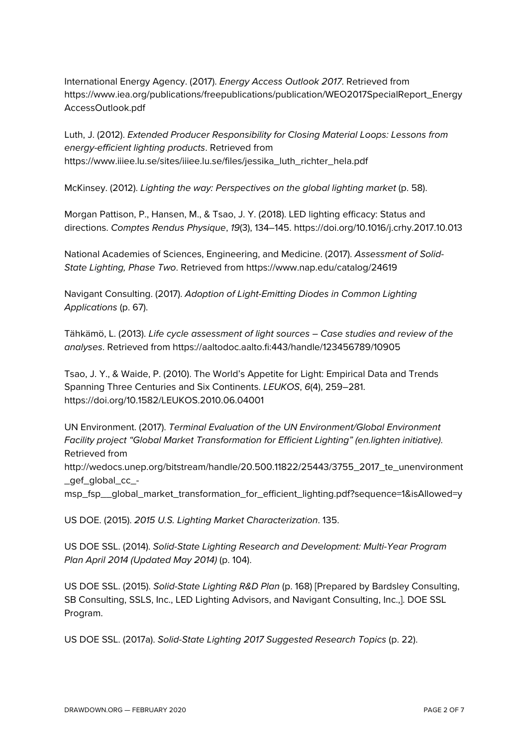International Energy Agency. (2017). *Energy Access Outlook 2017*. Retrieved from https://www.iea.org/publications/freepublications/publication/WEO2017SpecialReport\_Energy AccessOutlook.pdf

Luth, J. (2012). *Extended Producer Responsibility for Closing Material Loops: Lessons from energy-efficient lighting products*. Retrieved from https://www.iiiee.lu.se/sites/iiiee.lu.se/files/jessika\_luth\_richter\_hela.pdf

McKinsey. (2012). *Lighting the way: Perspectives on the global lighting market* (p. 58).

Morgan Pattison, P., Hansen, M., & Tsao, J. Y. (2018). LED lighting efficacy: Status and directions. *Comptes Rendus Physique*, *19*(3), 134–145. https://doi.org/10.1016/j.crhy.2017.10.013

National Academies of Sciences, Engineering, and Medicine. (2017). *Assessment of Solid-State Lighting, Phase Two*. Retrieved from https://www.nap.edu/catalog/24619

Navigant Consulting. (2017). *Adoption of Light-Emitting Diodes in Common Lighting Applications* (p. 67).

Tähkämö, L. (2013). *Life cycle assessment of light sources – Case studies and review of the analyses*. Retrieved from https://aaltodoc.aalto.fi:443/handle/123456789/10905

Tsao, J. Y., & Waide, P. (2010). The World's Appetite for Light: Empirical Data and Trends Spanning Three Centuries and Six Continents. *LEUKOS*, *6*(4), 259–281. https://doi.org/10.1582/LEUKOS.2010.06.04001

UN Environment. (2017). *Terminal Evaluation of the UN Environment/Global Environment Facility project "Global Market Transformation for Efficient Lighting" (en.lighten initiative)*. Retrieved from

http://wedocs.unep.org/bitstream/handle/20.500.11822/25443/3755\_2017\_te\_unenvironment \_gef\_global\_cc\_-

msp\_fsp\_\_global\_market\_transformation\_for\_efficient\_lighting.pdf?sequence=1&isAllowed=y

US DOE. (2015). *2015 U.S. Lighting Market Characterization*. 135.

US DOE SSL. (2014). *Solid-State Lighting Research and Development: Multi-Year Program Plan April 2014 (Updated May 2014)* (p. 104).

US DOE SSL. (2015). *Solid-State Lighting R&D Plan* (p. 168) [Prepared by Bardsley Consulting, SB Consulting, SSLS, Inc., LED Lighting Advisors, and Navigant Consulting, Inc.,]. DOE SSL Program.

US DOE SSL. (2017a). *Solid-State Lighting 2017 Suggested Research Topics* (p. 22).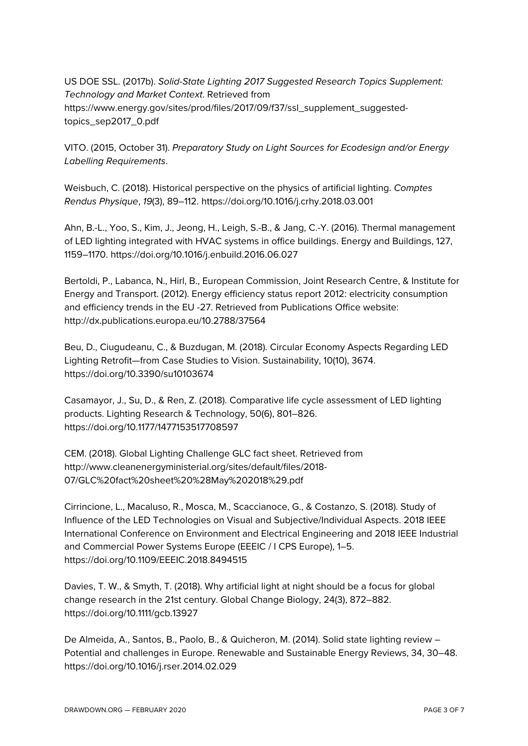US DOE SSL. (2017b). *Solid-State Lighting 2017 Suggested Research Topics Supplement: Technology and Market Context*. Retrieved from https://www.energy.gov/sites/prod/files/2017/09/f37/ssl\_supplement\_suggestedtopics\_sep2017\_0.pdf

VITO. (2015, October 31). *Preparatory Study on Light Sources for Ecodesign and/or Energy Labelling Requirements*.

Weisbuch, C. (2018). Historical perspective on the physics of artificial lighting. *Comptes Rendus Physique*, *19*(3), 89–112. https://doi.org/10.1016/j.crhy.2018.03.001

Ahn, B.-L., Yoo, S., Kim, J., Jeong, H., Leigh, S.-B., & Jang, C.-Y. (2016). Thermal management of LED lighting integrated with HVAC systems in office buildings. Energy and Buildings, 127, 1159–1170. https://doi.org/10.1016/j.enbuild.2016.06.027

Bertoldi, P., Labanca, N., Hirl, B., European Commission, Joint Research Centre, & Institute for Energy and Transport. (2012). Energy efficiency status report 2012: electricity consumption and efficiency trends in the EU -27. Retrieved from Publications Office website: http://dx.publications.europa.eu/10.2788/37564

Beu, D., Ciugudeanu, C., & Buzdugan, M. (2018). Circular Economy Aspects Regarding LED Lighting Retrofit—from Case Studies to Vision. Sustainability, 10(10), 3674. https://doi.org/10.3390/su10103674

Casamayor, J., Su, D., & Ren, Z. (2018). Comparative life cycle assessment of LED lighting products. Lighting Research & Technology, 50(6), 801–826. https://doi.org/10.1177/1477153517708597

CEM. (2018). Global Lighting Challenge GLC fact sheet. Retrieved from http://www.cleanenergyministerial.org/sites/default/files/2018- 07/GLC%20fact%20sheet%20%28May%202018%29.pdf

Cirrincione, L., Macaluso, R., Mosca, M., Scaccianoce, G., & Costanzo, S. (2018). Study of Influence of the LED Technologies on Visual and Subjective/Individual Aspects. 2018 IEEE International Conference on Environment and Electrical Engineering and 2018 IEEE Industrial and Commercial Power Systems Europe (EEEIC / I CPS Europe), 1–5. https://doi.org/10.1109/EEEIC.2018.8494515

Davies, T. W., & Smyth, T. (2018). Why artificial light at night should be a focus for global change research in the 21st century. Global Change Biology, 24(3), 872–882. https://doi.org/10.1111/gcb.13927

De Almeida, A., Santos, B., Paolo, B., & Quicheron, M. (2014). Solid state lighting review – Potential and challenges in Europe. Renewable and Sustainable Energy Reviews, 34, 30–48. https://doi.org/10.1016/j.rser.2014.02.029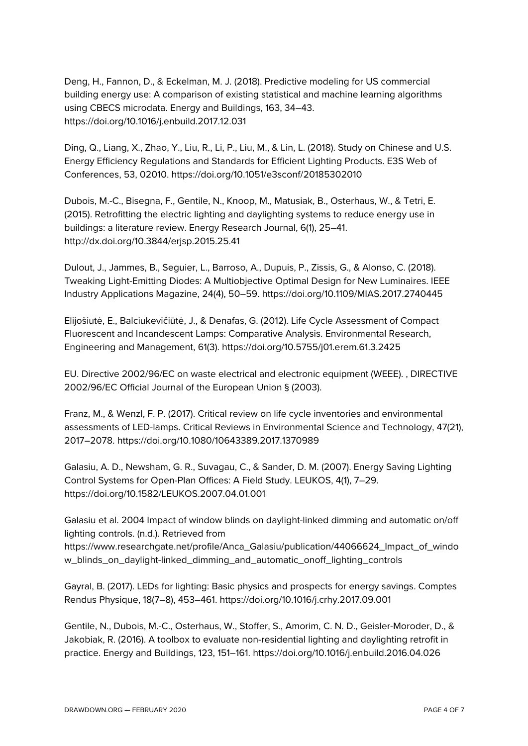Deng, H., Fannon, D., & Eckelman, M. J. (2018). Predictive modeling for US commercial building energy use: A comparison of existing statistical and machine learning algorithms using CBECS microdata. Energy and Buildings, 163, 34–43. https://doi.org/10.1016/j.enbuild.2017.12.031

Ding, Q., Liang, X., Zhao, Y., Liu, R., Li, P., Liu, M., & Lin, L. (2018). Study on Chinese and U.S. Energy Efficiency Regulations and Standards for Efficient Lighting Products. E3S Web of Conferences, 53, 02010. https://doi.org/10.1051/e3sconf/20185302010

Dubois, M.-C., Bisegna, F., Gentile, N., Knoop, M., Matusiak, B., Osterhaus, W., & Tetri, E. (2015). Retrofitting the electric lighting and daylighting systems to reduce energy use in buildings: a literature review. Energy Research Journal, 6(1), 25–41. http://dx.doi.org/10.3844/erjsp.2015.25.41

Dulout, J., Jammes, B., Seguier, L., Barroso, A., Dupuis, P., Zissis, G., & Alonso, C. (2018). Tweaking Light-Emitting Diodes: A Multiobjective Optimal Design for New Luminaires. IEEE Industry Applications Magazine, 24(4), 50–59. https://doi.org/10.1109/MIAS.2017.2740445

Elijošiutė, E., Balciukevičiūtė, J., & Denafas, G. (2012). Life Cycle Assessment of Compact Fluorescent and Incandescent Lamps: Comparative Analysis. Environmental Research, Engineering and Management, 61(3). https://doi.org/10.5755/j01.erem.61.3.2425

EU. Directive 2002/96/EC on waste electrical and electronic equipment (WEEE). , DIRECTIVE 2002/96/EC Official Journal of the European Union § (2003).

Franz, M., & Wenzl, F. P. (2017). Critical review on life cycle inventories and environmental assessments of LED-lamps. Critical Reviews in Environmental Science and Technology, 47(21), 2017–2078. https://doi.org/10.1080/10643389.2017.1370989

Galasiu, A. D., Newsham, G. R., Suvagau, C., & Sander, D. M. (2007). Energy Saving Lighting Control Systems for Open-Plan Offices: A Field Study. LEUKOS, 4(1), 7–29. https://doi.org/10.1582/LEUKOS.2007.04.01.001

Galasiu et al. 2004 Impact of window blinds on daylight-linked dimming and automatic on/off lighting controls. (n.d.). Retrieved from https://www.researchgate.net/profile/Anca\_Galasiu/publication/44066624\_Impact\_of\_windo w\_blinds\_on\_daylight-linked\_dimming\_and\_automatic\_onoff\_lighting\_controls

Gayral, B. (2017). LEDs for lighting: Basic physics and prospects for energy savings. Comptes Rendus Physique, 18(7–8), 453–461. https://doi.org/10.1016/j.crhy.2017.09.001

Gentile, N., Dubois, M.-C., Osterhaus, W., Stoffer, S., Amorim, C. N. D., Geisler-Moroder, D., & Jakobiak, R. (2016). A toolbox to evaluate non-residential lighting and daylighting retrofit in practice. Energy and Buildings, 123, 151–161. https://doi.org/10.1016/j.enbuild.2016.04.026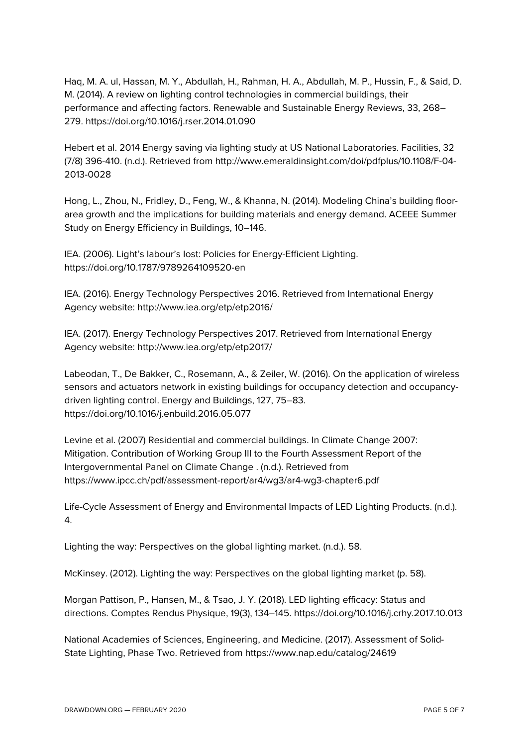Haq, M. A. ul, Hassan, M. Y., Abdullah, H., Rahman, H. A., Abdullah, M. P., Hussin, F., & Said, D. M. (2014). A review on lighting control technologies in commercial buildings, their performance and affecting factors. Renewable and Sustainable Energy Reviews, 33, 268– 279. https://doi.org/10.1016/j.rser.2014.01.090

Hebert et al. 2014 Energy saving via lighting study at US National Laboratories. Facilities, 32 (7/8) 396-410. (n.d.). Retrieved from http://www.emeraldinsight.com/doi/pdfplus/10.1108/F-04- 2013-0028

Hong, L., Zhou, N., Fridley, D., Feng, W., & Khanna, N. (2014). Modeling China's building floorarea growth and the implications for building materials and energy demand. ACEEE Summer Study on Energy Efficiency in Buildings, 10–146.

IEA. (2006). Light's labour's lost: Policies for Energy-Efficient Lighting. https://doi.org/10.1787/9789264109520-en

IEA. (2016). Energy Technology Perspectives 2016. Retrieved from International Energy Agency website: http://www.iea.org/etp/etp2016/

IEA. (2017). Energy Technology Perspectives 2017. Retrieved from International Energy Agency website: http://www.iea.org/etp/etp2017/

Labeodan, T., De Bakker, C., Rosemann, A., & Zeiler, W. (2016). On the application of wireless sensors and actuators network in existing buildings for occupancy detection and occupancydriven lighting control. Energy and Buildings, 127, 75–83. https://doi.org/10.1016/j.enbuild.2016.05.077

Levine et al. (2007) Residential and commercial buildings. In Climate Change 2007: Mitigation. Contribution of Working Group III to the Fourth Assessment Report of the Intergovernmental Panel on Climate Change . (n.d.). Retrieved from https://www.ipcc.ch/pdf/assessment-report/ar4/wg3/ar4-wg3-chapter6.pdf

Life-Cycle Assessment of Energy and Environmental Impacts of LED Lighting Products. (n.d.). 4.

Lighting the way: Perspectives on the global lighting market. (n.d.). 58.

McKinsey. (2012). Lighting the way: Perspectives on the global lighting market (p. 58).

Morgan Pattison, P., Hansen, M., & Tsao, J. Y. (2018). LED lighting efficacy: Status and directions. Comptes Rendus Physique, 19(3), 134–145. https://doi.org/10.1016/j.crhy.2017.10.013

National Academies of Sciences, Engineering, and Medicine. (2017). Assessment of Solid-State Lighting, Phase Two. Retrieved from https://www.nap.edu/catalog/24619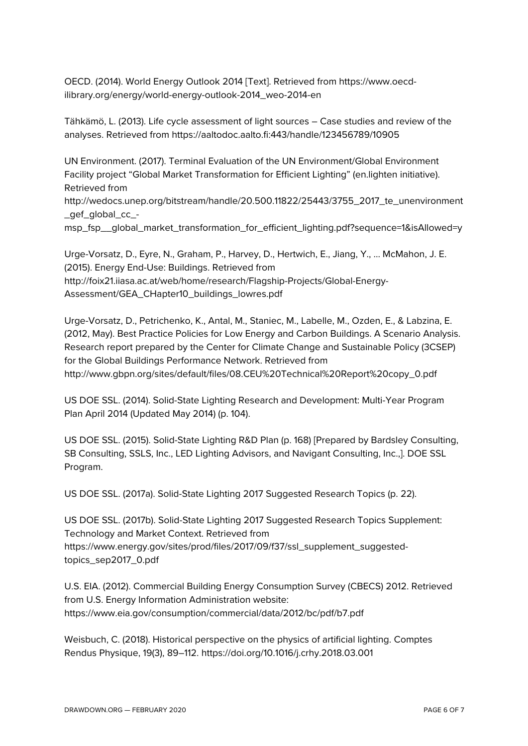OECD. (2014). World Energy Outlook 2014 [Text]. Retrieved from https://www.oecdilibrary.org/energy/world-energy-outlook-2014\_weo-2014-en

Tähkämö, L. (2013). Life cycle assessment of light sources – Case studies and review of the analyses. Retrieved from https://aaltodoc.aalto.fi:443/handle/123456789/10905

UN Environment. (2017). Terminal Evaluation of the UN Environment/Global Environment Facility project "Global Market Transformation for Efficient Lighting" (en.lighten initiative). Retrieved from http://wedocs.unep.org/bitstream/handle/20.500.11822/25443/3755\_2017\_te\_unenvironment \_gef\_global\_cc\_ msp\_fsp\_\_global\_market\_transformation\_for\_efficient\_lighting.pdf?sequence=1&isAllowed=y

Urge-Vorsatz, D., Eyre, N., Graham, P., Harvey, D., Hertwich, E., Jiang, Y., … McMahon, J. E. (2015). Energy End-Use: Buildings. Retrieved from http://foix21.iiasa.ac.at/web/home/research/Flagship-Projects/Global-Energy-Assessment/GEA\_CHapter10\_buildings\_lowres.pdf

Urge-Vorsatz, D., Petrichenko, K., Antal, M., Staniec, M., Labelle, M., Ozden, E., & Labzina, E. (2012, May). Best Practice Policies for Low Energy and Carbon Buildings. A Scenario Analysis. Research report prepared by the Center for Climate Change and Sustainable Policy (3CSEP) for the Global Buildings Performance Network. Retrieved from http://www.gbpn.org/sites/default/files/08.CEU%20Technical%20Report%20copy\_0.pdf

US DOE SSL. (2014). Solid-State Lighting Research and Development: Multi-Year Program Plan April 2014 (Updated May 2014) (p. 104).

US DOE SSL. (2015). Solid-State Lighting R&D Plan (p. 168) [Prepared by Bardsley Consulting, SB Consulting, SSLS, Inc., LED Lighting Advisors, and Navigant Consulting, Inc.,]. DOE SSL Program.

US DOE SSL. (2017a). Solid-State Lighting 2017 Suggested Research Topics (p. 22).

US DOE SSL. (2017b). Solid-State Lighting 2017 Suggested Research Topics Supplement: Technology and Market Context. Retrieved from https://www.energy.gov/sites/prod/files/2017/09/f37/ssl\_supplement\_suggestedtopics\_sep2017\_0.pdf

U.S. EIA. (2012). Commercial Building Energy Consumption Survey (CBECS) 2012. Retrieved from U.S. Energy Information Administration website: https://www.eia.gov/consumption/commercial/data/2012/bc/pdf/b7.pdf

Weisbuch, C. (2018). Historical perspective on the physics of artificial lighting. Comptes Rendus Physique, 19(3), 89–112. https://doi.org/10.1016/j.crhy.2018.03.001